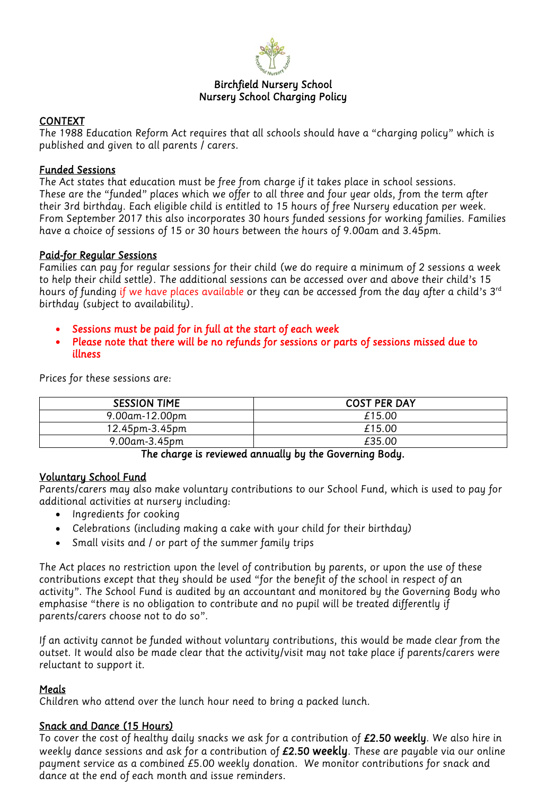

#### *Birchfield Nursery School Nursery School Charging Policy*

#### *CONTEXT*

*The 1988 Education Reform Act requires that all schools should have a "charging policy" which is published and given to all parents / carers.* 

#### *Funded Sessions*

*The Act states that education must be free from charge if it takes place in school sessions. These are the "funded" places which we offer to all three and four year olds, from the term after their 3rd birthday. Each eligible child is entitled to 15 hours of free Nursery education per week. From September 2017 this also incorporates 30 hours funded sessions for working families. Families have a choice of sessions of 15 or 30 hours between the hours of 9.00am and 3.45pm.*

#### *Paid-for Regular Sessions*

*Families can pay for regular sessions for their child (we do require a minimum of 2 sessions a week to help their child settle). The additional sessions can be accessed over and above their child's 15 hours of funding if we have places available or they can be accessed from the day after a child's 3rd birthday (subject to availability).*

- *Sessions must be paid for in full at the start of each week*
- *Please note that there will be no refunds for sessions or parts of sessions missed due to illness*

| <b>SESSION TIME</b> | <b>COST PER DAY</b> |
|---------------------|---------------------|
| $9.00$ am-12.00pm   | £15.00              |
| 12.45pm-3.45pm      | £15.00              |
| 9.00am-3.45pm       | £35.00              |

*Prices for these sessions are:* 

*The charge is reviewed annually by the Governing Body.* 

## *Voluntary School Fund*

*Parents/carers may also make voluntary contributions to our School Fund, which is used to pay for additional activities at nursery including:* 

- *Ingredients for cooking*
- *Celebrations (including making a cake with your child for their birthday)*
- *Small visits and / or part of the summer family trips*

*The Act places no restriction upon the level of contribution by parents, or upon the use of these contributions except that they should be used "for the benefit of the school in respect of an activity". The School Fund is audited by an accountant and monitored by the Governing Body who emphasise "there is no obligation to contribute and no pupil will be treated differently if parents/carers choose not to do so".* 

*If an activity cannot be funded without voluntary contributions, this would be made clear from the outset. It would also be made clear that the activity/visit may not take place if parents/carers were reluctant to support it.* 

## *Meals*

*Children who attend over the lunch hour need to bring a packed lunch.* 

## *Snack and Dance (15 Hours)*

*To cover the cost of healthy daily snacks we ask for a contribution of £2.50 weekly. We also hire in weekly dance sessions and ask for a contribution of £2.50 weekly. These are payable via our online payment service as a combined £5.00 weekly donation. We monitor contributions for snack and dance at the end of each month and issue reminders.*